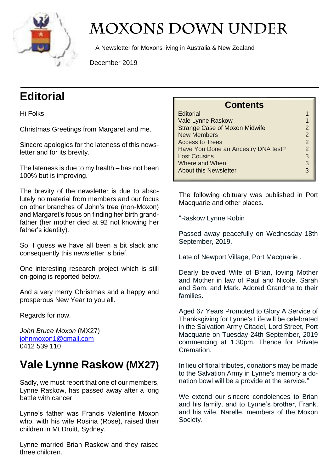

# **MOXONS DOWN UNDER**

A Newsletter for Moxons living in Australia & New Zealand

December 2019

# **Editorial**

Hi Folks.

Christmas Greetings from Margaret and me.

Sincere apologies for the lateness of this newsletter and for its brevity.

The lateness is due to my health – has not been 100% but is improving.

The brevity of the newsletter is due to absolutely no material from members and our focus on other branches of John's tree (non-Moxon) and Margaret's focus on finding her birth grandfather (her mother died at 92 not knowing her father's identity).

So, I guess we have all been a bit slack and consequently this newsletter is brief.

One interesting research project which is still on-going is reported below.

And a very merry Christmas and a happy and prosperous New Year to you all.

Regards for now.

*John Bruce Moxon* (MX27) [johnmoxon1@gmail.com](mailto:johnmoxon1@gmail.com) 0412 539 110

# **Vale Lynne Raskow (MX27)**

Sadly, we must report that one of our members, Lynne Raskow, has passed away after a long battle with cancer.

Lynne's father was Francis Valentine Moxon who, with his wife Rosina (Rose), raised their children in Mt Druitt, Sydney.

Lynne married Brian Raskow and they raised three children.

| <b>Contents</b>                      |               |
|--------------------------------------|---------------|
| Editorial                            |               |
| <b>Vale Lynne Raskow</b>             |               |
| <b>Strange Case of Moxon Midwife</b> | $\mathcal{P}$ |
| <b>New Members</b>                   | $\mathcal{P}$ |
| <b>Access to Trees</b>               | $\mathcal{P}$ |
| Have You Done an Ancestry DNA test?  | 2             |
| <b>Lost Cousins</b>                  | 3             |
| Where and When                       | 3             |
| <b>About this Newsletter</b>         |               |

The following obituary was published in Port Macquarie and other places.

"Raskow Lynne Robin

Passed away peacefully on Wednesday 18th September, 2019.

Late of Newport Village, Port Macquarie .

Dearly beloved Wife of Brian, loving Mother and Mother in law of Paul and Nicole, Sarah and Sam, and Mark. Adored Grandma to their families.

Aged 67 Years Promoted to Glory A Service of Thanksgiving for Lynne's Life will be celebrated in the Salvation Army Citadel, Lord Street, Port Macquarie on Tuesday 24th September, 2019 commencing at 1.30pm. Thence for Private Cremation.

In lieu of floral tributes, donations may be made to the Salvation Army in Lynne's memory a donation bowl will be a provide at the service."

We extend our sincere condolences to Brian and his family, and to Lynne's brother, Frank, and his wife, Narelle, members of the Moxon Society.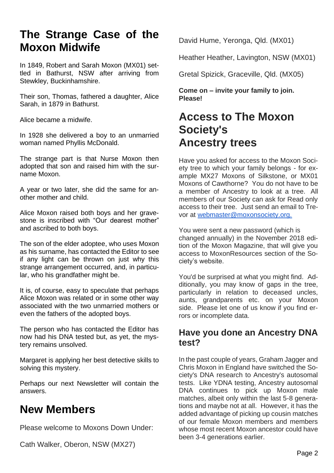#### **The Strange Case of the Moxon Midwife**

In 1849, Robert and Sarah Moxon (MX01) settled in Bathurst, NSW after arriving from Stewkley, Buckinhamshire.

Their son, Thomas, fathered a daughter, Alice Sarah, in 1879 in Bathurst.

Alice became a midwife.

In 1928 she delivered a boy to an unmarried woman named Phyllis McDonald.

The strange part is that Nurse Moxon then adopted that son and raised him with the surname Moxon.

A year or two later, she did the same for another mother and child.

Alice Moxon raised both boys and her gravestone is inscribed with "Our dearest mother" and ascribed to both boys.

The son of the elder adoptee, who uses Moxon as his surname, has contacted the Editor to see if any light can be thrown on just why this strange arrangement occurred, and, in particular, who his grandfather might be.

It is, of course, easy to speculate that perhaps Alice Moxon was related or in some other way associated with the two unmarried mothers or even the fathers of the adopted boys.

The person who has contacted the Editor has now had his DNA tested but, as yet, the mystery remains unsolved.

Margaret is applying her best detective skills to solving this mystery.

Perhaps our next Newsletter will contain the answers.

## **New Members**

Please welcome to Moxons Down Under:

Cath Walker, Oberon, NSW (MX27)

David Hume, Yeronga, Qld. (MX01)

Heather Heather, Lavington, NSW (MX01)

Gretal Spizick, Graceville, Qld. (MX05)

**Come on – invite your family to join. Please!**

## **Access to The Moxon Society's Ancestry trees**

Have you asked for access to the Moxon Society tree to which your family belongs - for example MX27 Moxons of Silkstone, or MX01 Moxons of Cawthorne? You do not have to be a member of Ancestry to look at a tree. All members of our Society can ask for Read only access to their tree. Just send an email to Trevor at [webmaster@moxonsociety.org.](mailto:webmaster@moxonsociety.org)

You were sent a new password (which is changed annually) in the November 2018 edition of the Moxon Magazine, that will give you access to MoxonResources section of the Society's website.

You'd be surprised at what you might find. Additionally, you may know of gaps in the tree, particularly in relation to deceased uncles, aunts, grandparents etc. on your Moxon side. Please let one of us know if you find errors or incomplete data.

#### **Have you done an Ancestry DNA test?**

In the past couple of years, Graham Jagger and Chris Moxon in England have switched the Society's DNA research to Ancestry's autosomal tests. Like YDNA testing, Ancestry autosomal DNA continues to pick up Moxon male matches, albeit only within the last 5-8 generations and maybe not at all. However, it has the added advantage of picking up cousin matches of our female Moxon members and members whose most recent Moxon ancestor could have been 3-4 generations earlier.